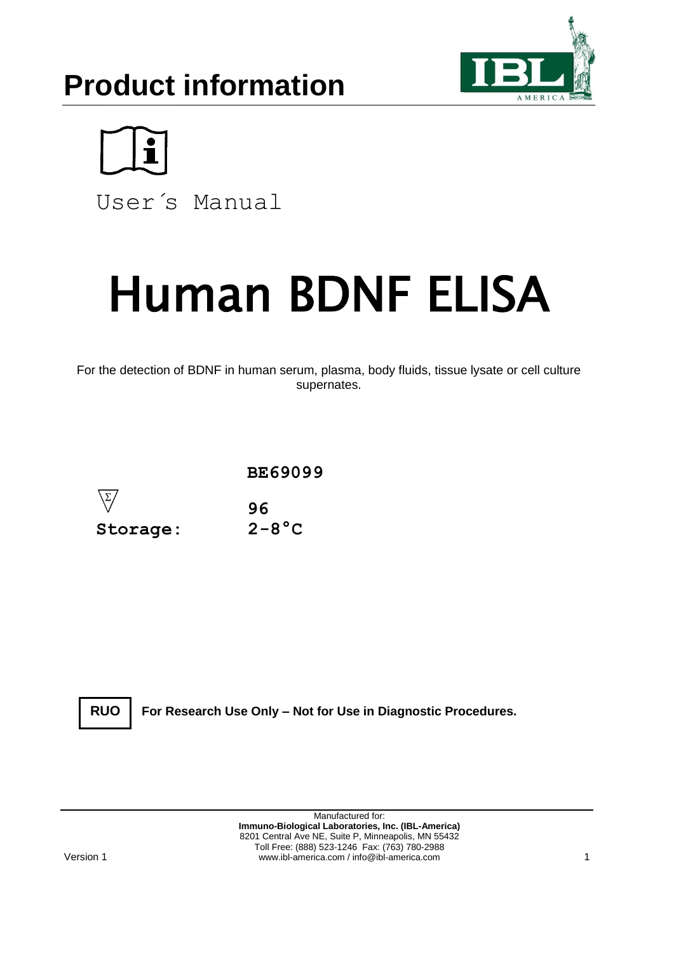



User´s Manual

# Human BDNF ELISA

For the detection of BDNF in human serum, plasma, body fluids, tissue lysate or cell culture supernates.





**For Research Use Only – Not for Use in Diagnostic Procedures.**

Manufactured for: **Immuno-Biological Laboratories, Inc. (IBL-America)** 8201 Central Ave NE, Suite P, Minneapolis, MN 55432 Toll Free: (888) 523-1246 Fax: (763) 780-2988 www.ibl-america.com / info@ibl-america.com 1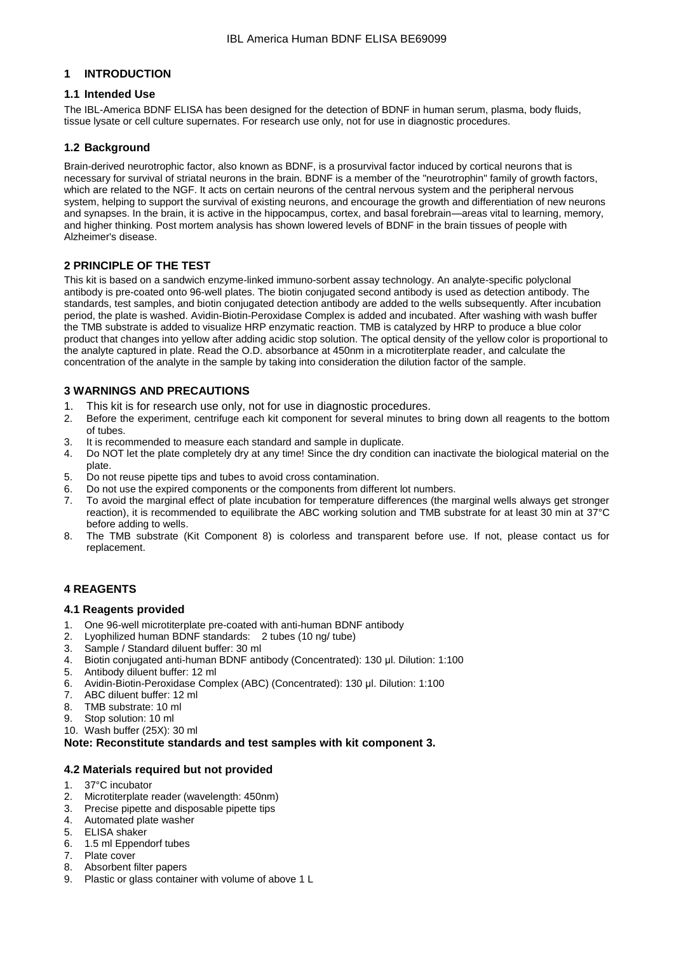# **1 INTRODUCTION**

# **1.1 Intended Use**

The IBL-America BDNF ELISA has been designed for the detection of BDNF in human serum, plasma, body fluids, tissue lysate or cell culture supernates. For research use only, not for use in diagnostic procedures.

# **1.2 Background**

Brain-derived neurotrophic factor, also known as BDNF, is a prosurvival factor induced by cortical neurons that is necessary for survival of striatal neurons in the brain. BDNF is a member of the "neurotrophin" family of growth factors, which are related to the NGF. It acts on certain neurons of the central nervous system and the peripheral nervous system, helping to support the survival of existing neurons, and encourage the growth and differentiation of new neurons and synapses. In the brain, it is active in the hippocampus, cortex, and basal forebrain—areas vital to learning, memory, and higher thinking. Post mortem analysis has shown lowered levels of BDNF in the brain tissues of people with Alzheimer's disease.

# **2 PRINCIPLE OF THE TEST**

This kit is based on a sandwich enzyme-linked immuno-sorbent assay technology. An analyte-specific polyclonal antibody is pre-coated onto 96-well plates. The biotin conjugated second antibody is used as detection antibody. The standards, test samples, and biotin conjugated detection antibody are added to the wells subsequently. After incubation period, the plate is washed. Avidin-Biotin-Peroxidase Complex is added and incubated. After washing with wash buffer the TMB substrate is added to visualize HRP enzymatic reaction. TMB is catalyzed by HRP to produce a blue color product that changes into yellow after adding acidic stop solution. The optical density of the yellow color is proportional to the analyte captured in plate. Read the O.D. absorbance at 450nm in a microtiterplate reader, and calculate the concentration of the analyte in the sample by taking into consideration the dilution factor of the sample.

# **3 WARNINGS AND PRECAUTIONS**

- 1. This kit is for research use only, not for use in diagnostic procedures.
- 2. Before the experiment, centrifuge each kit component for several minutes to bring down all reagents to the bottom of tubes.
- 3. It is recommended to measure each standard and sample in duplicate.
- 4. Do NOT let the plate completely dry at any time! Since the dry condition can inactivate the biological material on the plate.
- 5. Do not reuse pipette tips and tubes to avoid cross contamination.
- 6. Do not use the expired components or the components from different lot numbers.<br>7. To avoid the marginal effect of plate incubation for temperature differences (the n
- 7. To avoid the marginal effect of plate incubation for temperature differences (the marginal wells always get stronger reaction), it is recommended to equilibrate the ABC working solution and TMB substrate for at least 30 min at 37°C before adding to wells.
- 8. The TMB substrate (Kit Component 8) is colorless and transparent before use. If not, please contact us for replacement.

# **4 REAGENTS**

## **4.1 Reagents provided**

- 1. One 96-well microtiterplate pre-coated with anti-human BDNF antibody
- 2. Lyophilized human BDNF standards: 2 tubes (10 ng/ tube)
- 
- 3. Sample / Standard diluent buffer: 30 ml 4. Biotin conjugated anti-human BDNF antibody (Concentrated): 130 μl. Dilution: 1:100
- 5. Antibody diluent buffer: 12 ml
- 6. Avidin-Biotin-Peroxidase Complex (ABC) (Concentrated): 130 μl. Dilution: 1:100
- 7. ABC diluent buffer: 12 ml
- 
- 8. TMB substrate: 10 ml<br>9. Stop solution: 10 ml Stop solution: 10 ml
- 10. Wash buffer (25X): 30 ml

## **Note: Reconstitute standards and test samples with kit component 3.**

## **4.2 Materials required but not provided**

- 1. 37°C incubator
- 2. Microtiterplate reader (wavelength: 450nm)
- 3. Precise pipette and disposable pipette tips
- 4. Automated plate washer
- 5. ELISA shaker
- 6. 1.5 ml Eppendorf tubes
- 7. Plate cover
- 8. Absorbent filter papers
- 9. Plastic or glass container with volume of above 1 L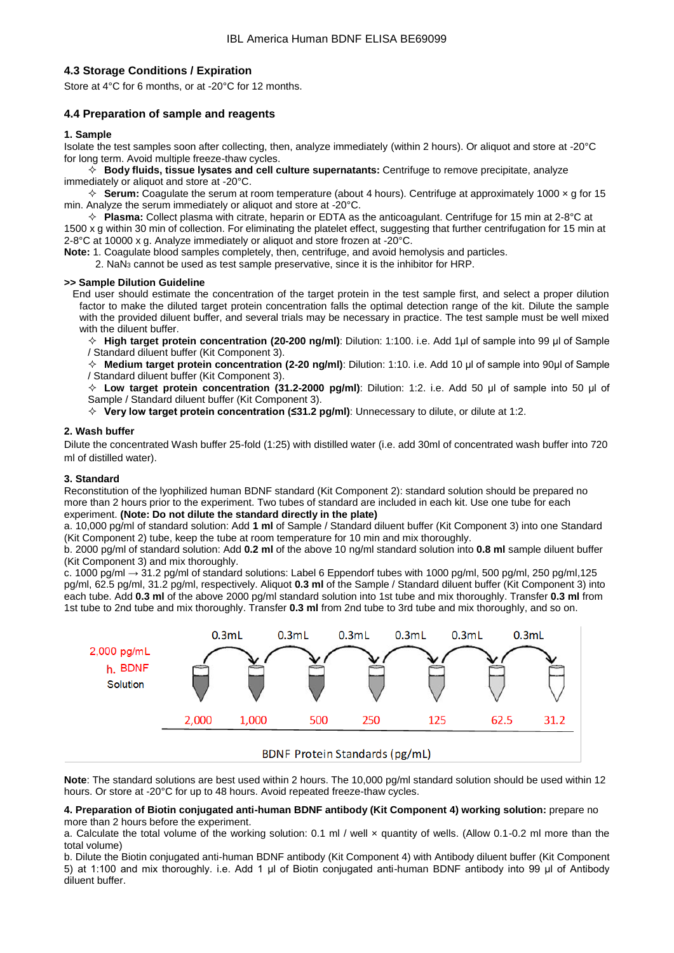# **4.3 Storage Conditions / Expiration**

Store at 4°C for 6 months, or at -20°C for 12 months.

# **4.4 Preparation of sample and reagents**

#### **1. Sample**

Isolate the test samples soon after collecting, then, analyze immediately (within 2 hours). Or aliquot and store at -20°C for long term. Avoid multiple freeze-thaw cycles.

 **Body fluids, tissue lysates and cell culture supernatants:** Centrifuge to remove precipitate, analyze immediately or aliquot and store at -20°C.

 $\Diamond$  **Serum:** Coagulate the serum at room temperature (about 4 hours). Centrifuge at approximately 1000 x g for 15 min. Analyze the serum immediately or aliquot and store at -20°C.

 **Plasma:** Collect plasma with citrate, heparin or EDTA as the anticoagulant. Centrifuge for 15 min at 2-8°C at 1500 x g within 30 min of collection. For eliminating the platelet effect, suggesting that further centrifugation for 15 min at 2-8°C at 10000 x g. Analyze immediately or aliquot and store frozen at -20°C.

**Note:** 1. Coagulate blood samples completely, then, centrifuge, and avoid hemolysis and particles.

2.  $\text{NaN}_3$  cannot be used as test sample preservative, since it is the inhibitor for HRP.

#### **>> Sample Dilution Guideline**

End user should estimate the concentration of the target protein in the test sample first, and select a proper dilution factor to make the diluted target protein concentration falls the optimal detection range of the kit. Dilute the sample with the provided diluent buffer, and several trials may be necessary in practice. The test sample must be well mixed with the diluent buffer.

 **High target protein concentration (20-200 ng/ml)**: Dilution: 1:100. i.e. Add 1μl of sample into 99 μl of Sample / Standard diluent buffer (Kit Component 3).

 **Medium target protein concentration (2-20 ng/ml)**: Dilution: 1:10. i.e. Add 10 μl of sample into 90μl of Sample / Standard diluent buffer (Kit Component 3).

 **Low target protein concentration (31.2-2000 pg/ml)**: Dilution: 1:2. i.e. Add 50 μl of sample into 50 μl of Sample / Standard diluent buffer (Kit Component 3).

**Very low target protein concentration (≤31.2 pg/ml)**: Unnecessary to dilute, or dilute at 1:2.

#### **2. Wash buffer**

Dilute the concentrated Wash buffer 25-fold (1:25) with distilled water (i.e. add 30ml of concentrated wash buffer into 720 ml of distilled water).

#### **3. Standard**

Reconstitution of the lyophilized human BDNF standard (Kit Component 2): standard solution should be prepared no more than 2 hours prior to the experiment. Two tubes of standard are included in each kit. Use one tube for each experiment. **(Note: Do not dilute the standard directly in the plate)**

a. 10,000 pg/ml of standard solution: Add **1 ml** of Sample / Standard diluent buffer (Kit Component 3) into one Standard (Kit Component 2) tube, keep the tube at room temperature for 10 min and mix thoroughly.

b. 2000 pg/ml of standard solution: Add **0.2 ml** of the above 10 ng/ml standard solution into **0.8 ml** sample diluent buffer (Kit Component 3) and mix thoroughly.

c. 1000 pg/ml  $\rightarrow$  31.2 pg/ml of standard solutions: Label 6 Eppendorf tubes with 1000 pg/ml, 500 pg/ml, 250 pg/ml, 125 pg/ml, 62.5 pg/ml, 31.2 pg/ml, respectively. Aliquot **0.3 ml** of the Sample / Standard diluent buffer (Kit Component 3) into each tube. Add **0.3 ml** of the above 2000 pg/ml standard solution into 1st tube and mix thoroughly. Transfer **0.3 ml** from 1st tube to 2nd tube and mix thoroughly. Transfer **0.3 ml** from 2nd tube to 3rd tube and mix thoroughly, and so on.



## **BDNF Protein Standards (pg/mL)**

**Note**: The standard solutions are best used within 2 hours. The 10,000 pg/ml standard solution should be used within 12 hours. Or store at -20°C for up to 48 hours. Avoid repeated freeze-thaw cycles.

#### **4. Preparation of Biotin conjugated anti-human BDNF antibody (Kit Component 4) working solution:** prepare no more than 2 hours before the experiment.

a. Calculate the total volume of the working solution: 0.1 ml / well x quantity of wells. (Allow 0.1-0.2 ml more than the total volume)

b. Dilute the Biotin conjugated anti-human BDNF antibody (Kit Component 4) with Antibody diluent buffer (Kit Component 5) at 1:100 and mix thoroughly. i.e. Add 1 μl of Biotin conjugated anti-human BDNF antibody into 99 μl of Antibody diluent buffer.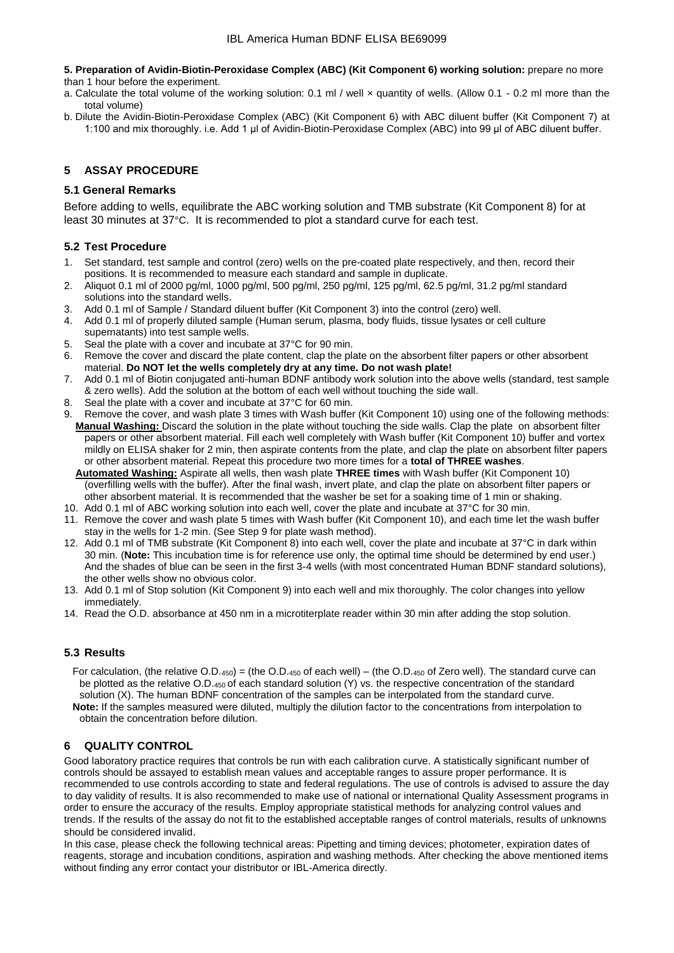**5. Preparation of Avidin-Biotin-Peroxidase Complex (ABC) (Kit Component 6) working solution:** prepare no more than 1 hour before the experiment.

a. Calculate the total volume of the working solution: 0.1 ml / well × quantity of wells. (Allow 0.1 - 0.2 ml more than the total volume)

b. Dilute the Avidin-Biotin-Peroxidase Complex (ABC) (Kit Component 6) with ABC diluent buffer (Kit Component 7) at 1:100 and mix thoroughly. i.e. Add 1 μl of Avidin-Biotin-Peroxidase Complex (ABC) into 99 μl of ABC diluent buffer.

# **5 ASSAY PROCEDURE**

## **5.1 General Remarks**

Before adding to wells, equilibrate the ABC working solution and TMB substrate (Kit Component 8) for at least 30 minutes at 37°C. It is recommended to plot a standard curve for each test.

# **5.2 Test Procedure**

- 1. Set standard, test sample and control (zero) wells on the pre-coated plate respectively, and then, record their positions. It is recommended to measure each standard and sample in duplicate.
- 2. Aliquot 0.1 ml of 2000 pg/ml, 1000 pg/ml, 500 pg/ml, 250 pg/ml, 125 pg/ml, 62.5 pg/ml, 31.2 pg/ml standard solutions into the standard wells.
- 3. Add 0.1 ml of Sample / Standard diluent buffer (Kit Component 3) into the control (zero) well.
- 4. Add 0.1 ml of properly diluted sample (Human serum, plasma, body fluids, tissue lysates or cell culture supernatants) into test sample wells.
- 5. Seal the plate with a cover and incubate at 37°C for 90 min.
- 6. Remove the cover and discard the plate content, clap the plate on the absorbent filter papers or other absorbent material. **Do NOT let the wells completely dry at any time. Do not wash plate!**
- 7. Add 0.1 ml of Biotin conjugated anti-human BDNF antibody work solution into the above wells (standard, test sample & zero wells). Add the solution at the bottom of each well without touching the side wall.
- 8. Seal the plate with a cover and incubate at 37°C for 60 min.
- 9. Remove the cover, and wash plate 3 times with Wash buffer (Kit Component 10) using one of the following methods: **Manual Washing:** Discard the solution in the plate without touching the side walls. Clap the plate on absorbent filter papers or other absorbent material. Fill each well completely with Wash buffer (Kit Component 10) buffer and vortex mildly on ELISA shaker for 2 min, then aspirate contents from the plate, and clap the plate on absorbent filter papers or other absorbent material. Repeat this procedure two more times for a **total of THREE washes**.

 **Automated Washing:** Aspirate all wells, then wash plate **THREE times** with Wash buffer (Kit Component 10) (overfilling wells with the buffer). After the final wash, invert plate, and clap the plate on absorbent filter papers or other absorbent material. It is recommended that the washer be set for a soaking time of 1 min or shaking.

- 10. Add 0.1 ml of ABC working solution into each well, cover the plate and incubate at 37°C for 30 min.
- 11. Remove the cover and wash plate 5 times with Wash buffer (Kit Component 10), and each time let the wash buffer stay in the wells for 1-2 min. (See Step 9 for plate wash method).
- 12. Add 0.1 ml of TMB substrate (Kit Component 8) into each well, cover the plate and incubate at 37°C in dark within 30 min. (**Note:** This incubation time is for reference use only, the optimal time should be determined by end user.) And the shades of blue can be seen in the first 3-4 wells (with most concentrated Human BDNF standard solutions), the other wells show no obvious color.
- 13. Add 0.1 ml of Stop solution (Kit Component 9) into each well and mix thoroughly. The color changes into yellow immediately.
- 14. Read the O.D. absorbance at 450 nm in a microtiterplate reader within 30 min after adding the stop solution.

# **5.3 Results**

For calculation, (the relative  $O.D.450$ ) = (the  $O.D.450$  of each well) – (the  $O.D.450$  of Zero well). The standard curve can be plotted as the relative O.D.450 of each standard solution (Y) vs. the respective concentration of the standard solution (X). The human BDNF concentration of the samples can be interpolated from the standard curve.  **Note:** If the samples measured were diluted, multiply the dilution factor to the concentrations from interpolation to obtain the concentration before dilution.

# **6 QUALITY CONTROL**

Good laboratory practice requires that controls be run with each calibration curve. A statistically significant number of controls should be assayed to establish mean values and acceptable ranges to assure proper performance. It is recommended to use controls according to state and federal regulations. The use of controls is advised to assure the day to day validity of results. It is also recommended to make use of national or international Quality Assessment programs in order to ensure the accuracy of the results. Employ appropriate statistical methods for analyzing control values and trends. If the results of the assay do not fit to the established acceptable ranges of control materials, results of unknowns should be considered invalid.

In this case, please check the following technical areas: Pipetting and timing devices; photometer, expiration dates of reagents, storage and incubation conditions, aspiration and washing methods. After checking the above mentioned items without finding any error contact your distributor or IBL-America directly.